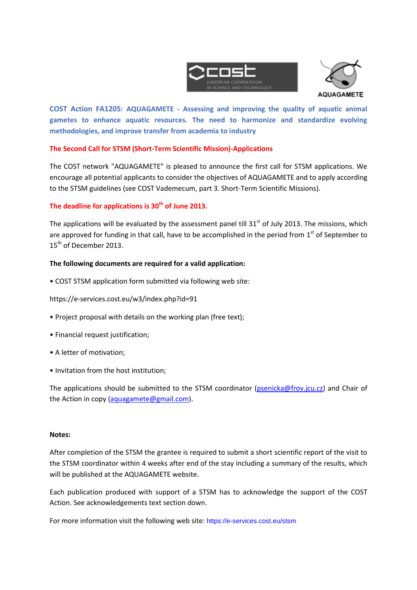



**COST Action FA1205: AQUAGAMETE - Assessing and improving the quality of aquatic animal gametes to enhance aquatic resources. The need to harmonize and standardize evolving methodologies, and improve transfer from academia to industry**

# **The Second Call for STSM (Short-Term Scientific Mission)-Applications**

The COST network "AQUAGAMETE" is pleased to announce the first call for STSM applications. We encourage all potential applicants to consider the objectives of AQUAGAMETE and to apply according to the STSM guidelines (see COST Vademecum, part 3. Short-Term Scientific Missions).

# **The deadline for applications is 30th of June 2013.**

The applications will be evaluated by the assessment panel till  $31<sup>st</sup>$  of July 2013. The missions, which are approved for funding in that call, have to be accomplished in the period from  $1<sup>st</sup>$  of September to 15<sup>th</sup> of December 2013.

### **The following documents are required for a valid application:**

• COST STSM application form submitted via following web site:

https://e-services.cost.eu/w3/index.php?id=91

- Project proposal with details on the working plan (free text);
- Financial request justification;
- A letter of motivation;
- Invitation from the host institution;

The applications should be submitted to the STSM coordinator [\(psenicka@frov.jcu.cz\)](mailto:psenicka@frov.jcu.cz) and Chair of the Action in copy [\(aquagamete@gmail.com\)](mailto:aquagamete@gmail.com).

#### **Notes:**

After completion of the STSM the grantee is required to submit a short scientific report of the visit to the STSM coordinator within 4 weeks after end of the stay including a summary of the results, which will be published at the AQUAGAMETE website.

Each publication produced with support of a STSM has to acknowledge the support of the COST Action. See acknowledgements text section down.

For more information visit the following web site: https://e-services.cost.eu/stsm